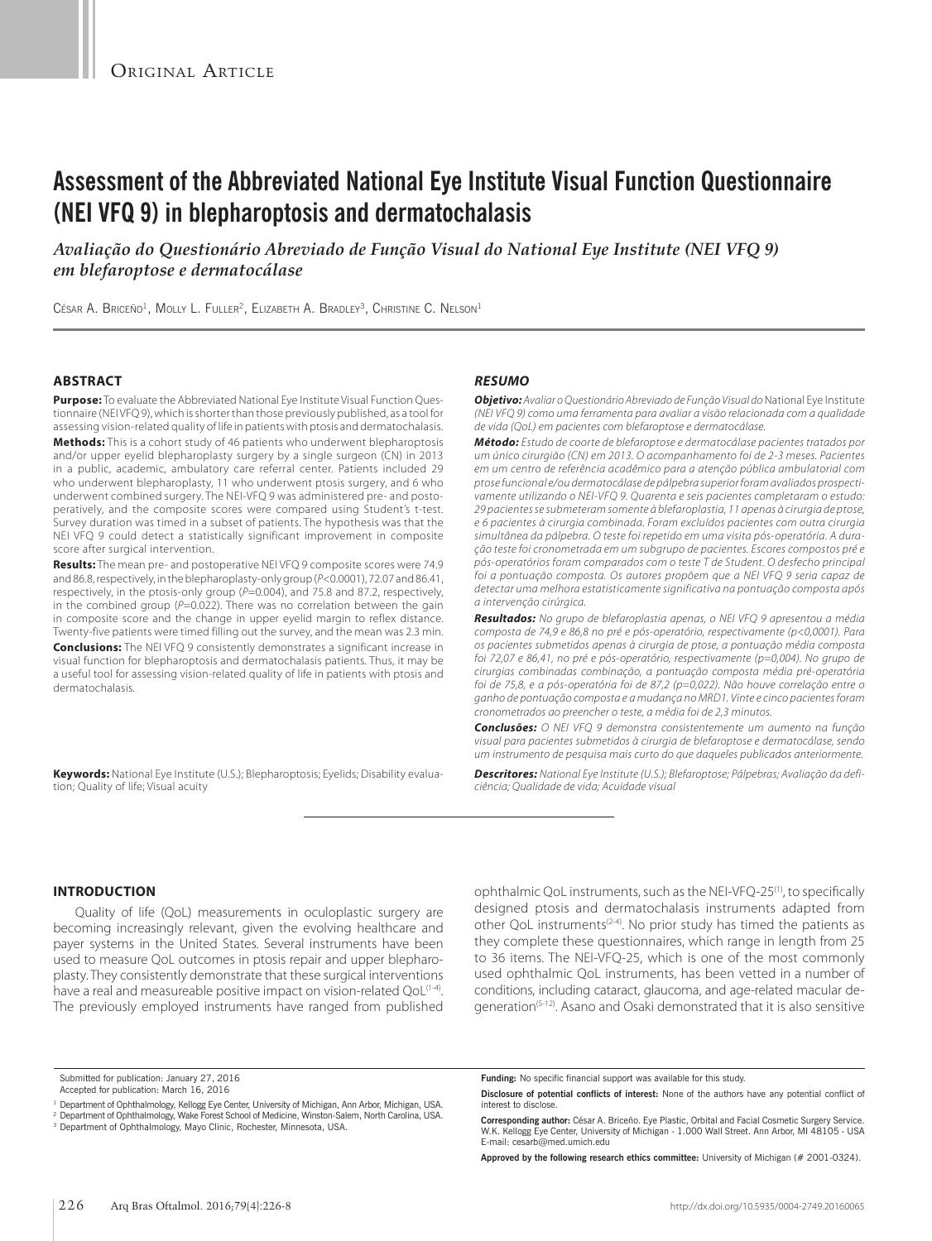# **Assessment of the Abbreviated National Eye Institute Visual Function Questionnaire (NEI VFQ 9) in blepharoptosis and dermatochalasis**

*Avaliação do Questionário Abreviado de Função Visual do National Eye Institute (NEI VFQ 9) em blefaroptose e dermatocálase*

César A. Briceño<sup>1</sup>, Molly L. Fuller<sup>2</sup>, Elizabeth A. Bradley<sup>3</sup>, Christine C. Nelson<sup>1</sup>

## **ABSTRACT**

**Purpose:** To evaluate the Abbreviated National Eye Institute Visual Function Questionnaire (NEI VFQ 9), which is shorter than those previously published, as a tool for assessing vision-related quality of life in patients with ptosis and dermatochalasis.

**Methods:** This is a cohort study of 46 patients who underwent blepharoptosis and/or upper eyelid blepharoplasty surgery by a single surgeon (CN) in 2013 in a public, academic, ambulatory care referral center. Patients included 29 who underwent blepharoplasty, 11 who underwent ptosis surgery, and 6 who underwent combined surgery. The NEI-VFQ 9 was administered pre- and postoperatively, and the composite scores were compared using Student's t-test. Survey duration was timed in a subset of patients. The hypothesis was that the NEI VFQ 9 could detect a statistically significant improvement in composite score after surgical intervention.

**Results:** The mean pre- and postoperative NEI VFQ 9 composite scores were 74.9 and 86.8, respectively, in the blepharoplasty-only group (*P*<0.0001), 72.07 and 86.41, respectively, in the ptosis-only group ( $P=0.004$ ), and 75.8 and 87.2, respectively, in the combined group ( $P=0.022$ ). There was no correlation between the gain in composite score and the change in upper eyelid margin to reflex distance. Twenty-five patients were timed filling out the survey, and the mean was 2.3 min. **Conclusions:** The NEI VFQ 9 consistently demonstrates a significant increase in visual function for blepharoptosis and dermatochalasis patients. Thus, it may be a useful tool for assessing vision-related quality of life in patients with ptosis and dermatochalasis.

**Keywords:** National Eye Institute (U.S.); Blepharoptosis; Eyelids; Disability evaluation; Quality of life; Visual acuity

## *RESUMO*

*Objetivo: Avaliar o Questionário Abreviado de Função Visual do* National Eye Institute *(NEI VFQ 9) como uma ferramenta para avaliar a visão relacionada com a qualidade de vida (QoL) em pacientes com blefaroptose e dermatocálase.* 

*Método: Estudo de coorte de blefaroptose e dermatocálase pacientes tratados por um único cirurgião (CN) em 2013. O acompanhamento foi de 2-3 meses. Pacientes em um centro de referência acadêmico para a atenção pública ambulatorial com ptose funcional e/ou dermatocálase de pálpebra superior foram avaliados prospectivamente utilizando o NEI-VFQ 9. Quarenta e seis pacientes completaram o estudo: 29 pacientes se submeteram somente à blefaroplastia, 11 apenas à cirurgia de ptose, e 6 pacientes à cirurgia combinada. Foram excluídos pacientes com outra cirurgia simultânea da pálpebra. O teste foi repetido em uma visita pós-operatória. A duração teste foi cronometrada em um subgrupo de pacientes. Escores compostos pré e pós-operatórios foram comparados com o teste T de Student. O desfecho principal foi a pontuação composta. Os autores propõem que a NEI VFQ 9 seria capaz de detectar uma melhora estatisticamente significativa na pontuação composta após a intervenção cirúrgica.* 

*Resultados: No grupo de blefaroplastia apenas, o NEI VFQ 9 apresentou a média composta de 74,9 e 86,8 no pré e pós-operatório, respectivamente (p<0,0001). Para os pacientes submetidos apenas à cirurgia de ptose, a pontuação média composta foi 72,07 e 86,41, no pré e pós-operatório, respectivamente (p=0,004). No grupo de cirurgias combinadas combinação, a pontuação composta média pré-operatória foi de 75,8, e a pós-operatória foi de 87,2 (p=0,022). Não houve correlação entre o ganho de pontuação composta e a mudança no MRD1. Vinte e cinco pacientes foram cronometrados ao preencher o teste, a média foi de 2,3 minutos.* 

*Conclusões: O NEI VFQ 9 demonstra consistentemente um aumento na função visual para pacientes submetidos à cirurgia de blefaroptose e dermatocálase, sendo um instrumento de pesquisa mais curto do que daqueles publicados anteriormente.*

*Descritores: National Eye Institute (U.S.); Blefaroptose; Pálpebras; Avaliação da deficiência; Qualidade de vida; Acuidade visual*

## **INTRODUCTION**

Quality of life (QoL) measurements in oculoplastic surgery are becoming increasingly relevant, given the evolving healthcare and payer systems in the United States. Several instruments have been used to measure QoL outcomes in ptosis repair and upper blepharoplasty. They consistently demonstrate that these surgical interventions have a real and measureable positive impact on vision-related QoL<sup>(1-4)</sup>. The previously employed instruments have ranged from published ophthalmic QoL instruments, such as the NEI-VFQ-25(1), to specifically designed ptosis and dermatochalasis instruments adapted from other QoL instruments(2-4). No prior study has timed the patients as they complete these questionnaires, which range in length from 25 to 36 items. The NEI-VFQ-25, which is one of the most commonly used ophthalmic QoL instruments, has been vetted in a number of conditions, including cataract, glaucoma, and age-related macular degeneration<sup>(5-12)</sup>. Asano and Osaki demonstrated that it is also sensitive

Submitted for publication: January 27, 2016

**Funding:** No specific financial support was available for this study.

**Approved by the following research ethics committee:** University of Michigan (# 2001-0324).

Accepted for publication: March 16, 2016

Department of Ophthalmology, Kellogg Eye Center, University of Michigan, Ann Arbor, Michigan, USA.

<sup>&</sup>lt;sup>2</sup> Department of Ophthalmology, Wake Forest School of Medicine, Winston-Salem, North Carolina, USA.<br><sup>3</sup> Department of Ophthalmology, Mayo Clinic, Rochester, Minnesota, USA.

**Disclosure of potential conflicts of interest:** None of the authors have any potential conflict of interest to disclose.

**Corresponding author:** César A. Briceño. Eye Plastic, Orbital and Facial Cosmetic Surgery Service. W.K. Kellogg Eye Center, University of Michigan - 1.000 Wall Street. Ann Arbor, MI 48105 - USA E-mail: cesarb@med.umich.edu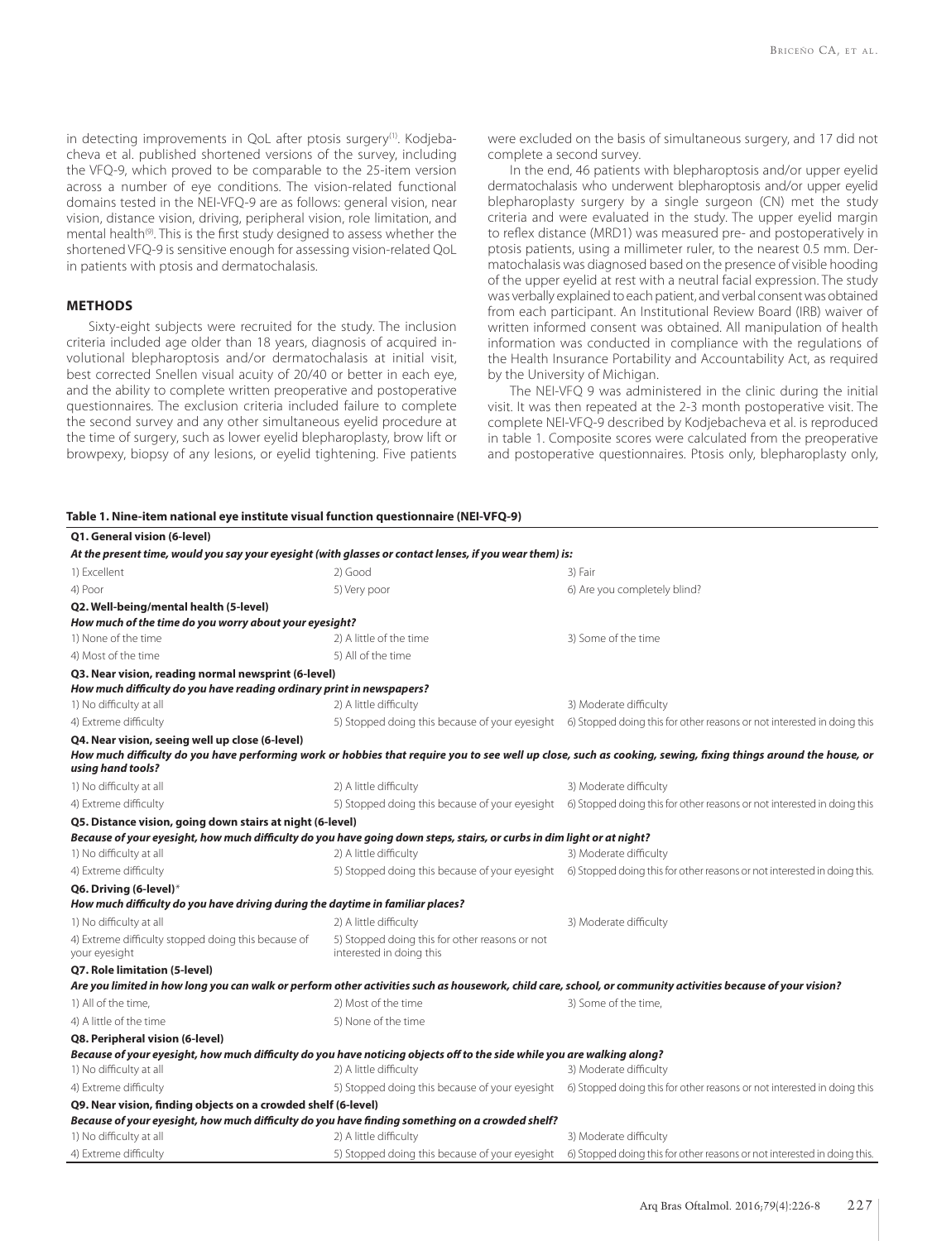in detecting improvements in QoL after ptosis surgery<sup>(1)</sup>. Kodjebacheva et al. published shortened versions of the survey, including the VFQ-9, which proved to be comparable to the 25-item version across a number of eye conditions. The vision-related functional domains tested in the NEI-VFQ-9 are as follows: general vision, near vision, distance vision, driving, peripheral vision, role limitation, and mental health<sup>(9)</sup>. This is the first study designed to assess whether the shortened VFQ-9 is sensitive enough for assessing vision-related QoL in patients with ptosis and dermatochalasis.

## **METHODS**

Sixty-eight subjects were recruited for the study. The inclusion criteria included age older than 18 years, diagnosis of acquired in volutional blepharoptosis and/or dermatochalasis at initial visit, best corrected Snellen visual acuity of 20/40 or better in each eye, and the ability to complete written preoperative and postoperative questionnaires. The exclusion criteria included failure to complete the second survey and any other simultaneous eyelid procedure at the time of surgery, such as lower eyelid blepharoplasty, brow lift or browpexy, biopsy of any lesions, or eyelid tightening. Five patients were excluded on the basis of simultaneous surgery, and 17 did not complete a second survey.

In the end, 46 patients with blepharoptosis and/or upper eyelid dermatochalasis who underwent blepharoptosis and/or upper eyelid blepharoplasty surgery by a single surgeon (CN) met the study criteria and were evaluated in the study. The upper eyelid margin to reflex distance (MRD1) was measured pre- and postoperatively in ptosis patients, using a millimeter ruler, to the nearest 0.5 mm. Dermatochalasis was diagnosed based on the presence of visible hooding of the upper eyelid at rest with a neutral facial expression. The study was verbally explained to each patient, and verbal consent was obtained from each participant. An Institutional Review Board (IRB) waiver of written informed consent was obtained. All manipulation of health information was conducted in compliance with the regulations of the Health Insurance Portability and Accountability Act, as required by the University of Michigan.

The NEI-VFO 9 was administered in the clinic during the initial visit. It was then repeated at the 2-3 month postoperative visit. The complete NEI-VFQ-9 described by Kodjebacheva et al. is reproduced in table 1. Composite scores were calculated from the preoperative and postoperative questionnaires. Ptosis only, blepharoplasty only,

#### **Table 1. Nine-item national eye institute visual function questionnaire (NEI-VFQ-9)**

| Q1. General vision (6-level)                                                                                            |                                                                            |                                                                                                                                                               |  |
|-------------------------------------------------------------------------------------------------------------------------|----------------------------------------------------------------------------|---------------------------------------------------------------------------------------------------------------------------------------------------------------|--|
| At the present time, would you say your eyesight (with glasses or contact lenses, if you wear them) is:                 |                                                                            |                                                                                                                                                               |  |
| 1) Excellent                                                                                                            | 2) Good                                                                    | 3) Fair                                                                                                                                                       |  |
| 4) Poor                                                                                                                 | 5) Very poor                                                               | 6) Are you completely blind?                                                                                                                                  |  |
| Q2. Well-being/mental health (5-level)                                                                                  |                                                                            |                                                                                                                                                               |  |
| How much of the time do you worry about your eyesight?                                                                  |                                                                            |                                                                                                                                                               |  |
| 1) None of the time                                                                                                     | 2) A little of the time                                                    | 3) Some of the time                                                                                                                                           |  |
| 4) Most of the time                                                                                                     | 5) All of the time                                                         |                                                                                                                                                               |  |
| Q3. Near vision, reading normal newsprint (6-level)                                                                     |                                                                            |                                                                                                                                                               |  |
| How much difficulty do you have reading ordinary print in newspapers?                                                   |                                                                            |                                                                                                                                                               |  |
| 1) No difficulty at all                                                                                                 | 2) A little difficulty                                                     | 3) Moderate difficulty                                                                                                                                        |  |
| 4) Extreme difficulty                                                                                                   |                                                                            | 5) Stopped doing this because of your eyesight 6) Stopped doing this for other reasons or not interested in doing this                                        |  |
| Q4. Near vision, seeing well up close (6-level)                                                                         |                                                                            |                                                                                                                                                               |  |
| using hand tools?                                                                                                       |                                                                            | How much difficulty do you have performing work or hobbies that require you to see well up close, such as cooking, sewing, fixing things around the house, or |  |
| 1) No difficulty at all                                                                                                 | 2) A little difficulty                                                     | 3) Moderate difficulty                                                                                                                                        |  |
| 4) Extreme difficulty                                                                                                   |                                                                            | 5) Stopped doing this because of your eyesight 6) Stopped doing this for other reasons or not interested in doing this                                        |  |
| Q5. Distance vision, going down stairs at night (6-level)                                                               |                                                                            |                                                                                                                                                               |  |
| Because of your eyesight, how much difficulty do you have going down steps, stairs, or curbs in dim light or at night?  |                                                                            |                                                                                                                                                               |  |
| 1) No difficulty at all                                                                                                 | 2) A little difficulty                                                     | 3) Moderate difficulty                                                                                                                                        |  |
| 4) Extreme difficulty                                                                                                   |                                                                            | 5) Stopped doing this because of your eyesight 6) Stopped doing this for other reasons or not interested in doing this.                                       |  |
| Q6. Driving (6-level)*                                                                                                  |                                                                            |                                                                                                                                                               |  |
| How much difficulty do you have driving during the daytime in familiar places?                                          |                                                                            |                                                                                                                                                               |  |
| 1) No difficulty at all                                                                                                 | 2) A little difficulty                                                     | 3) Moderate difficulty                                                                                                                                        |  |
| 4) Extreme difficulty stopped doing this because of<br>your eyesight                                                    | 5) Stopped doing this for other reasons or not<br>interested in doing this |                                                                                                                                                               |  |
| Q7. Role limitation (5-level)                                                                                           |                                                                            |                                                                                                                                                               |  |
|                                                                                                                         |                                                                            | Are you limited in how long you can walk or perform other activities such as housework, child care, school, or community activities because of your vision?   |  |
| 1) All of the time,                                                                                                     | 2) Most of the time                                                        | 3) Some of the time,                                                                                                                                          |  |
| 4) A little of the time                                                                                                 | 5) None of the time                                                        |                                                                                                                                                               |  |
| Q8. Peripheral vision (6-level)                                                                                         |                                                                            |                                                                                                                                                               |  |
| Because of your eyesight, how much difficulty do you have noticing objects off to the side while you are walking along? |                                                                            |                                                                                                                                                               |  |
| 1) No difficulty at all                                                                                                 | 2) A little difficulty                                                     | 3) Moderate difficulty                                                                                                                                        |  |
| 4) Extreme difficulty                                                                                                   |                                                                            | 5) Stopped doing this because of your eyesight 6) Stopped doing this for other reasons or not interested in doing this                                        |  |
| Q9. Near vision, finding objects on a crowded shelf (6-level)                                                           |                                                                            |                                                                                                                                                               |  |
| Because of your eyesight, how much difficulty do you have finding something on a crowded shelf?                         |                                                                            |                                                                                                                                                               |  |
| 1) No difficulty at all                                                                                                 | 2) A little difficulty                                                     | 3) Moderate difficulty                                                                                                                                        |  |
| 4) Extreme difficulty                                                                                                   |                                                                            | 5) Stopped doing this because of your eyesight 6) Stopped doing this for other reasons or not interested in doing this.                                       |  |